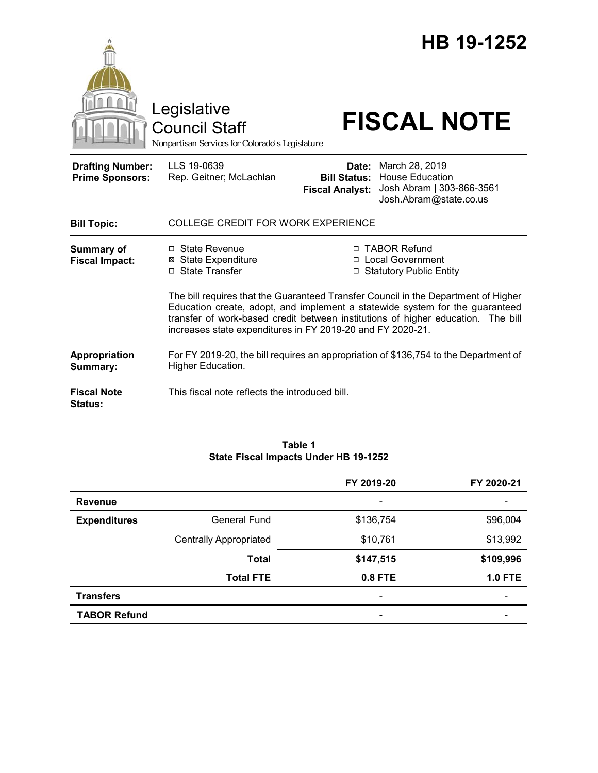

#### **Table 1 State Fiscal Impacts Under HB 19-1252**

|                     |                               | FY 2019-20               | FY 2020-21     |
|---------------------|-------------------------------|--------------------------|----------------|
| <b>Revenue</b>      |                               | $\overline{\phantom{0}}$ |                |
| <b>Expenditures</b> | <b>General Fund</b>           | \$136,754                | \$96,004       |
|                     | <b>Centrally Appropriated</b> | \$10,761                 | \$13,992       |
|                     | <b>Total</b>                  | \$147,515                | \$109,996      |
|                     | <b>Total FTE</b>              | $0.8$ FTE                | <b>1.0 FTE</b> |
| <b>Transfers</b>    |                               | $\overline{\phantom{a}}$ |                |
| <b>TABOR Refund</b> |                               |                          |                |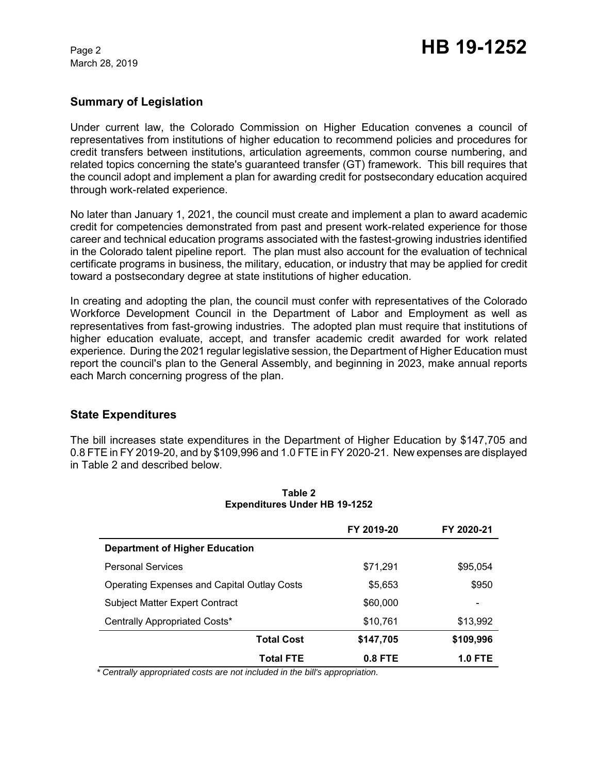March 28, 2019

## **Summary of Legislation**

Under current law, the Colorado Commission on Higher Education convenes a council of representatives from institutions of higher education to recommend policies and procedures for credit transfers between institutions, articulation agreements, common course numbering, and related topics concerning the state's guaranteed transfer (GT) framework. This bill requires that the council adopt and implement a plan for awarding credit for postsecondary education acquired through work-related experience.

No later than January 1, 2021, the council must create and implement a plan to award academic credit for competencies demonstrated from past and present work-related experience for those career and technical education programs associated with the fastest-growing industries identified in the Colorado talent pipeline report. The plan must also account for the evaluation of technical certificate programs in business, the military, education, or industry that may be applied for credit toward a postsecondary degree at state institutions of higher education.

In creating and adopting the plan, the council must confer with representatives of the Colorado Workforce Development Council in the Department of Labor and Employment as well as representatives from fast-growing industries. The adopted plan must require that institutions of higher education evaluate, accept, and transfer academic credit awarded for work related experience. During the 2021 regular legislative session, the Department of Higher Education must report the council's plan to the General Assembly, and beginning in 2023, make annual reports each March concerning progress of the plan.

# **State Expenditures**

The bill increases state expenditures in the Department of Higher Education by \$147,705 and 0.8 FTE in FY 2019-20, and by \$109,996 and 1.0 FTE in FY 2020-21. New expenses are displayed in Table 2 and described below.

|                                                    | FY 2019-20 | FY 2020-21     |
|----------------------------------------------------|------------|----------------|
| Department of Higher Education                     |            |                |
| <b>Personal Services</b>                           | \$71,291   | \$95,054       |
| <b>Operating Expenses and Capital Outlay Costs</b> | \$5,653    | \$950          |
| <b>Subject Matter Expert Contract</b>              | \$60,000   |                |
| Centrally Appropriated Costs*                      | \$10,761   | \$13,992       |
| <b>Total Cost</b>                                  | \$147,705  | \$109,996      |
| Total FTE                                          | $0.8$ FTE  | <b>1.0 FTE</b> |

#### **Table 2 Expenditures Under HB 19-1252**

 *\* Centrally appropriated costs are not included in the bill's appropriation.*